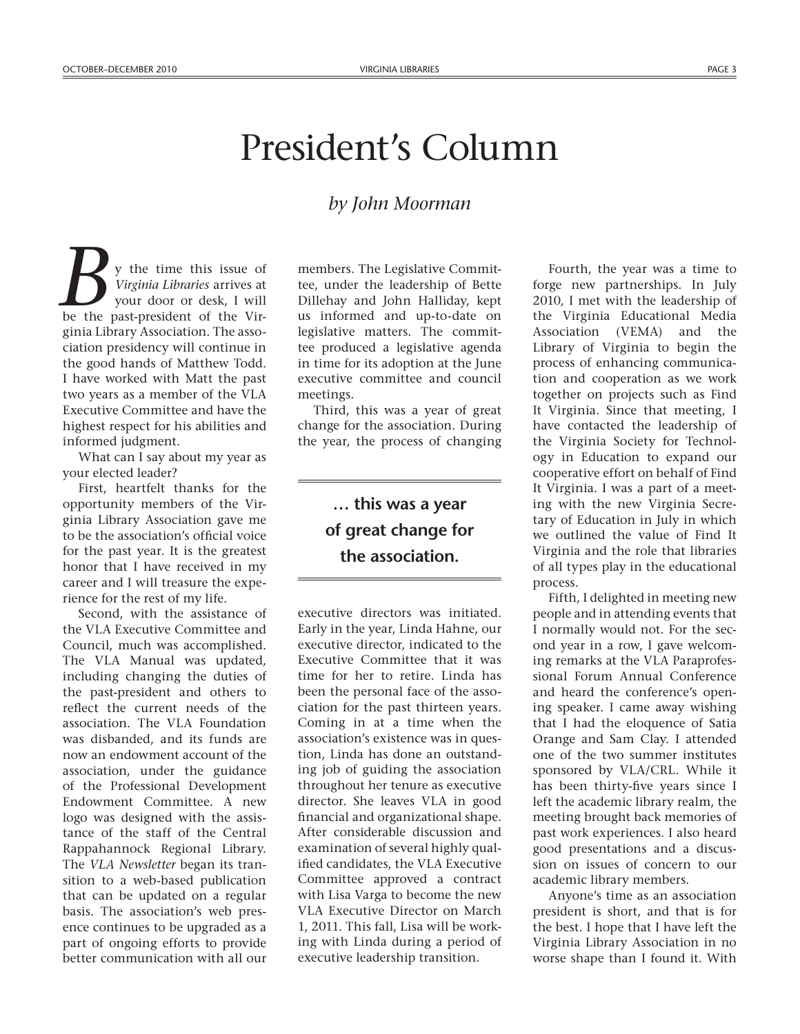## President's Column

## *by John Moorman*

y the time this issue of *Virginia Libraries* arrives at your door or desk, I will **b** y the time this issue of Virginia Libraries arrives at your door or desk, I will be the past-president of the Virginia Library Association. The association presidency will continue in the good hands of Matthew Todd. I have worked with Matt the past two years as a member of the VLA Executive Committee and have the highest respect for his abilities and informed judgment.

What can I say about my year as your elected leader?

First, heartfelt thanks for the opportunity members of the Virginia Library Association gave me to be the association's official voice for the past year. It is the greatest honor that I have received in my career and I will treasure the experience for the rest of my life.

Second, with the assistance of the VLA Executive Committee and Council, much was accomplished. The VLA Manual was updated, including changing the duties of the past-president and others to reflect the current needs of the association. The VLA Foundation was disbanded, and its funds are now an endowment account of the association, under the guidance of the Professional Development Endowment Committee. A new logo was designed with the assistance of the staff of the Central Rappahannock Regional Library. The *VLA Newsletter* began its transition to a web-based publication that can be updated on a regular basis. The association's web presence continues to be upgraded as a part of ongoing efforts to provide better communication with all our

members. The Legislative Committee, under the leadership of Bette Dillehay and John Halliday, kept us informed and up-to-date on legislative matters. The committee produced a legislative agenda in time for its adoption at the June executive committee and council meetings.

Third, this was a year of great change for the association. During the year, the process of changing

## **… this was a year of great change for the association.**

executive directors was initiated. Early in the year, Linda Hahne, our executive director, indicated to the Executive Committee that it was time for her to retire. Linda has been the personal face of the association for the past thirteen years. Coming in at a time when the association's existence was in question, Linda has done an outstanding job of guiding the association throughout her tenure as executive director. She leaves VLA in good financial and organizational shape. After considerable discussion and examination of several highly qualified candidates, the VLA Executive Committee approved a contract with Lisa Varga to become the new VLA Executive Director on March 1, 2011. This fall, Lisa will be working with Linda during a period of executive leadership transition.

Fourth, the year was a time to forge new partnerships. In July 2010, I met with the leadership of the Virginia Educational Media Association (VEMA) and the Library of Virginia to begin the process of enhancing communication and cooperation as we work together on projects such as Find It Virginia. Since that meeting, I have contacted the leadership of the Virginia Society for Technology in Education to expand our cooperative effort on behalf of Find It Virginia. I was a part of a meeting with the new Virginia Secretary of Education in July in which we outlined the value of Find It Virginia and the role that libraries of all types play in the educational process.

Fifth, I delighted in meeting new people and in attending events that I normally would not. For the second year in a row, I gave welcoming remarks at the VLA Paraprofessional Forum Annual Conference and heard the conference's opening speaker. I came away wishing that I had the eloquence of Satia Orange and Sam Clay. I attended one of the two summer institutes sponsored by VLA/CRL. While it has been thirty-five years since I left the academic library realm, the meeting brought back memories of past work experiences. I also heard good presentations and a discussion on issues of concern to our academic library members.

Anyone's time as an association president is short, and that is for the best. I hope that I have left the Virginia Library Association in no worse shape than I found it. With